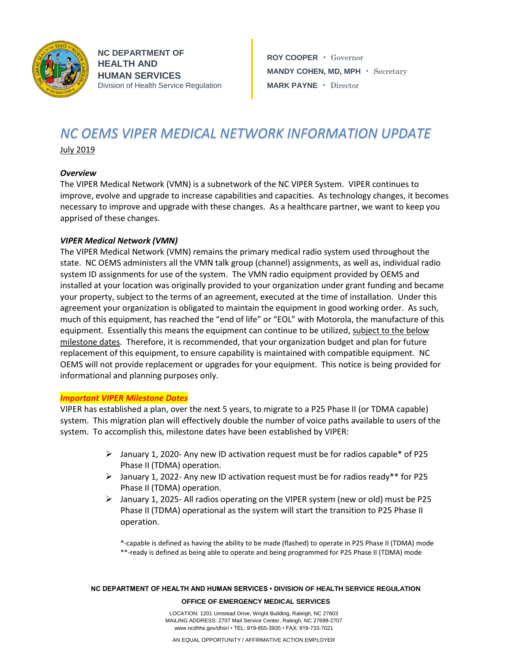

**NC DEPARTMENT OF HEALTH AND HUMAN SERVICES** Division of Health Service Regulation

**ROY COOPER** • Governor **MANDY COHEN, MD, MPH** • Secretary **MARK PAYNE** • Director

# *NC OEMS VIPER MEDICAL NETWORK INFORMATION UPDATE*

July 2019

## *Overview*

The VIPER Medical Network (VMN) is a subnetwork of the NC VIPER System. VIPER continues to improve, evolve and upgrade to increase capabilities and capacities. As technology changes, it becomes necessary to improve and upgrade with these changes. As a healthcare partner, we want to keep you apprised of these changes.

## *VIPER Medical Network (VMN)*

The VIPER Medical Network (VMN) remains the primary medical radio system used throughout the state. NC OEMS administers all the VMN talk group (channel) assignments, as well as, individual radio system ID assignments for use of the system. The VMN radio equipment provided by OEMS and installed at your location was originally provided to your organization under grant funding and became your property, subject to the terms of an agreement, executed at the time of installation. Under this agreement your organization is obligated to maintain the equipment in good working order. As such, much of this equipment, has reached the "end of life" or "EOL" with Motorola, the manufacture of this equipment. Essentially this means the equipment can continue to be utilized, subject to the below milestone dates. Therefore, it is recommended, that your organization budget and plan for future replacement of this equipment, to ensure capability is maintained with compatible equipment. NC OEMS will not provide replacement or upgrades for your equipment. This notice is being provided for informational and planning purposes only.

### *Important VIPER Milestone Dates*

VIPER has established a plan, over the next 5 years, to migrate to a P25 Phase II (or TDMA capable) system. This migration plan will effectively double the number of voice paths available to users of the system. To accomplish this, milestone dates have been established by VIPER:

- $\triangleright$  January 1, 2020- Any new ID activation request must be for radios capable\* of P25 Phase II (TDMA) operation.
- $\triangleright$  January 1, 2022- Any new ID activation request must be for radios ready\*\* for P25 Phase II (TDMA) operation.
- $\triangleright$  January 1, 2025- All radios operating on the VIPER system (new or old) must be P25 Phase II (TDMA) operational as the system will start the transition to P25 Phase II operation.

\*-capable is defined as having the ability to be made (flashed) to operate in P25 Phase II (TDMA) mode \*\*-ready is defined as being able to operate and being programmed for P25 Phase II (TDMA) mode

#### **NC DEPARTMENT OF HEALTH AND HUMAN SERVICES • DIVISION OF HEALTH SERVICE REGULATION**

#### **OFFICE OF EMERGENCY MEDICAL SERVICES**

LOCATION: 1201 Umstead Drive, Wright Building, Raleigh, NC 27603 MAILING ADDRESS: 2707 Mail Service Center, Raleigh, NC 27699-2707 www.ncdhhs.gov/dhsr/ • TEL: 919-855-3935 • FAX: 919-733-7021

AN EQUAL OPPORTUNITY / AFFIRMATIVE ACTION EMPLOYER